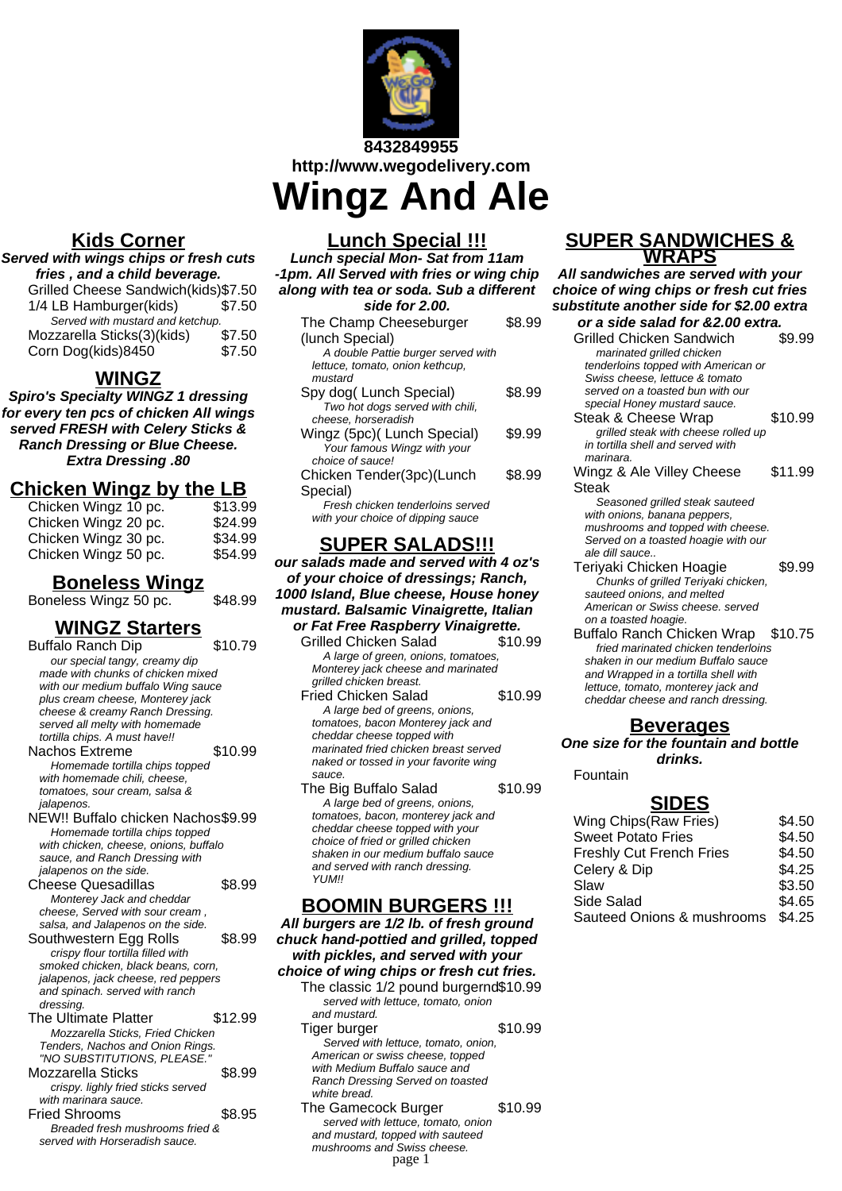

**8432849955 http://www.wegodelivery.com Wingz And Ale**

## **Kids Corner**

## **Served with wings chips or fresh cuts fries , and a child beverage.** Grilled Cheese Sandwich(kids)\$7.50

| 1/4 LB Hamburger(kids)           | \$7.50 |
|----------------------------------|--------|
| Served with mustard and ketchup. |        |
| Mozzarella Sticks(3)(kids)       | \$7.50 |
| Corn Dog(kids)8450               | \$7.50 |

## **WINGZ**

**Spiro's Specialty WINGZ 1 dressing for every ten pcs of chicken All wings served FRESH with Celery Sticks & Ranch Dressing or Blue Cheese. Extra Dressing .80**

## **Chicken Wingz by the LB**

| Chicken Wingz 10 pc. | \$13.99 |
|----------------------|---------|
| Chicken Wingz 20 pc. | \$24.99 |
| Chicken Wingz 30 pc. | \$34.99 |
| Chicken Wingz 50 pc. | \$54.99 |

## **Boneless Wingz**

Boneless Wingz 50 pc. \$48.99

## **WINGZ Starters**

Buffalo Ranch Dip \$10.79 our special tangy, creamy dip made with chunks of chicken mixed with our medium buffalo Wing sauce plus cream cheese, Monterey jack cheese & creamy Ranch Dressing. served all melty with homemade tortilla chips. A must have!! Nachos Extreme \$10.99 Homemade tortilla chips topped with homemade chili, cheese, tomatoes, sour cream, salsa & jalapenos. NEW!! Buffalo chicken Nachos\$9.99 Homemade tortilla chips topped with chicken, cheese, onions, buffalo sauce, and Ranch Dressing with jalapenos on the side. Cheese Quesadillas \$8.99 Monterey Jack and cheddar cheese, Served with sour cream , salsa, and Jalapenos on the side. Southwestern Egg Rolls \$8.99 crispy flour tortilla filled with smoked chicken, black beans, corn, jalapenos, jack cheese, red peppers and spinach. served with ranch dressing. The Ultimate Platter \$12.99 Mozzarella Sticks, Fried Chicken Tenders, Nachos and Onion Rings. "NO SUBSTITUTIONS, PLEASE." Mozzarella Sticks \$8.99 crispy. lighly fried sticks served with marinara sauce. Fried Shrooms \$8.95 Breaded fresh mushrooms fried & served with Horseradish sauce.

## **Lunch Special !!!**

**Lunch special Mon- Sat from 11am -1pm. All Served with fries or wing chip along with tea or soda. Sub a different side for 2.00.**

| The Champ Cheeseburger             | \$8.99 |
|------------------------------------|--------|
| (lunch Special)                    |        |
| A double Pattie burger served with |        |
| lettuce, tomato, onion kethcup,    |        |
| mustard                            |        |
| Spy dog(Lunch Special)             | \$8.99 |
| Two hot dogs served with chili,    |        |
| cheese, horseradish                |        |
| Wingz (5pc) (Lunch Special)        | \$9.99 |
| Your famous Wingz with your        |        |
| choice of sauce!                   |        |
| Chicken Tender(3pc)(Lunch          | \$8.99 |
| Special)                           |        |
| Fresh chicken tenderloins served   |        |
| with your choice of dipping sauce  |        |
|                                    |        |
| UPFR SAI                           |        |

# **SUPER SALADS!!!**

**our salads made and served with 4 oz's of your choice of dressings; Ranch, 1000 Island, Blue cheese, House honey mustard. Balsamic Vinaigrette, Italian or Fat Free Raspberry Vinaigrette.**

- Grilled Chicken Salad \$10.99 A large of green, onions, tomatoes, Monterey jack cheese and marinated grilled chicken breast.
- Fried Chicken Salad \$10.99 A large bed of greens, onions, tomatoes, bacon Monterey jack and cheddar cheese topped with marinated fried chicken breast served naked or tossed in your favorite wing sauce.
- The Big Buffalo Salad \$10.99 A large bed of greens, onions, tomatoes, bacon, monterey jack and cheddar cheese topped with your choice of fried or grilled chicken shaken in our medium buffalo sauce and served with ranch dressing. **YI IM!!**

# **BOOMIN BURGERS !!!**

**All burgers are 1/2 lb. of fresh ground chuck hand-pottied and grilled, topped with pickles, and served with your choice of wing chips or fresh cut fries.** The classic 1/2 pound burgernd\$10.99 served with lettuce, tomato, onion and mustard. Tiger burger \$10.99 Served with lettuce, tomato, onion, American or swiss cheese, topped with Medium Buffalo sauce and Ranch Dressing Served on toasted white bread. The Gamecock Burger \$10.99 served with lettuce, tomato, onion

and mustard, topped with sauteed mushrooms and Swiss cheese.

page 1

### **SUPER SANDWICHES & WRAPS**

**All sandwiches are served with your choice of wing chips or fresh cut fries substitute another side for \$2.00 extra**

- **or a side salad for &2.00 extra.** Grilled Chicken Sandwich marinated grilled chicken tenderloins topped with American or Swiss cheese, lettuce & tomato served on a toasted bun with our special Honey mustard sauce. Steak & Cheese Wrap \$10.99 grilled steak with cheese rolled up in tortilla shell and served with marinara. Wingz & Ale Villey Cheese Steak \$11.99 Seasoned grilled steak sauteed with onions, banana peppers, mushrooms and topped with cheese. Served on a toasted hoagie with our ale dill sauce.. Teriyaki Chicken Hoagie \$9.99 Chunks of grilled Teriyaki chicken, sauteed onions, and melted American or Swiss cheese. served
- on a toasted hoagie. Buffalo Ranch Chicken Wrap \$10.75 fried marinated chicken tenderloins shaken in our medium Buffalo sauce and Wrapped in a tortilla shell with lettuce, tomato, monterey jack and cheddar cheese and ranch dressing.

## **Beverages**

### **One size for the fountain and bottle drinks.**

Fountain

## **SIDES**

| Wing Chips (Raw Fries)          | \$4.50 |
|---------------------------------|--------|
| <b>Sweet Potato Fries</b>       | \$4.50 |
| <b>Freshly Cut French Fries</b> | \$4.50 |
| Celery & Dip                    | \$4.25 |
| Slaw                            | \$3.50 |
| Side Salad                      | \$4.65 |
| Sauteed Onions & mushrooms      | \$4.25 |
|                                 |        |